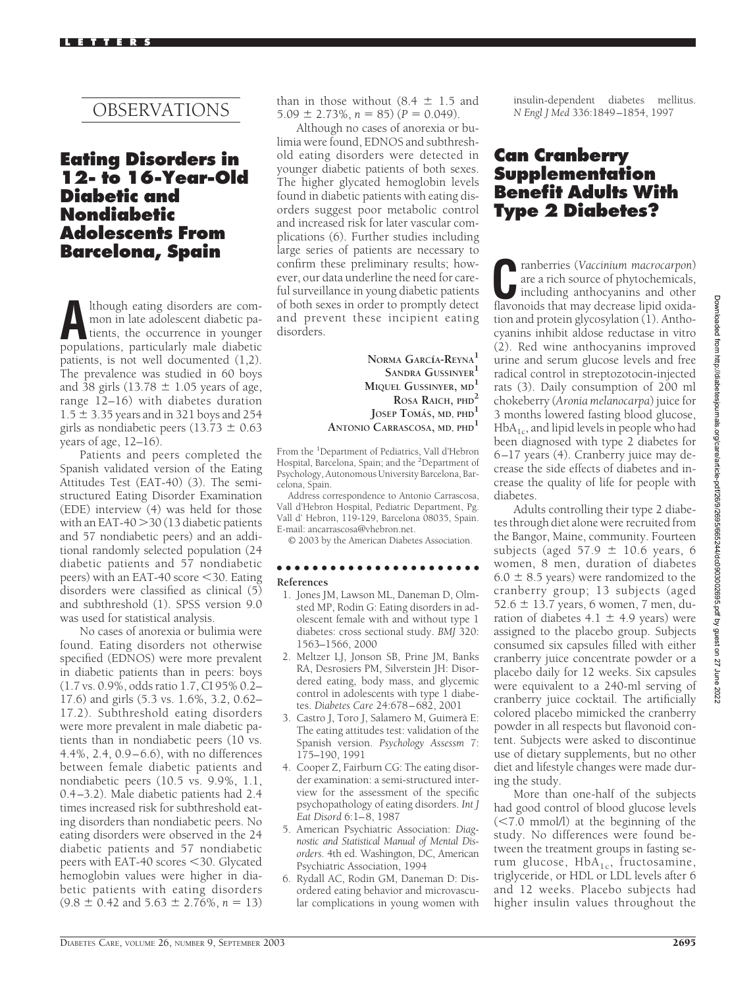# OBSERVATIONS

## **Eating Disorders in 12- to 16-Year-Old Diabetic and Nondiabetic Adolescents From Barcelona, Spain**

**ALTER EXECUTE:** Through eating disorders are common in late adolescent diabetic patients, the occurrence in younger populations particularly male diabetic mon in late adolescent diabetic papopulations, particularly male diabetic patients, is not well documented (1,2). The prevalence was studied in 60 boys and 38 girls (13.78  $\pm$  1.05 years of age, range 12–16) with diabetes duration  $1.5 \pm 3.35$  years and in 321 boys and 254 girls as nondiabetic peers (13.73  $\pm$  0.63 years of age, 12–16).

Patients and peers completed the Spanish validated version of the Eating Attitudes Test (EAT-40) (3). The semistructured Eating Disorder Examination (EDE) interview (4) was held for those with an EAT-40 > 30 (13 diabetic patients and 57 nondiabetic peers) and an additional randomly selected population (24 diabetic patients and 57 nondiabetic peers) with an EAT-40 score  $\leq$ 30. Eating disorders were classified as clinical (5) and subthreshold (1). SPSS version 9.0 was used for statistical analysis.

No cases of anorexia or bulimia were found. Eating disorders not otherwise specified (EDNOS) were more prevalent in diabetic patients than in peers: boys (1.7 vs. 0.9%, odds ratio 1.7, CI 95% 0.2– 17.6) and girls (5.3 vs. 1.6%, 3.2, 0.62– 17.2). Subthreshold eating disorders were more prevalent in male diabetic patients than in nondiabetic peers (10 vs. 4.4%, 2.4, 0.9–6.6), with no differences between female diabetic patients and nondiabetic peers (10.5 vs. 9.9%, 1.1, 0.4–3.2). Male diabetic patients had 2.4 times increased risk for subthreshold eating disorders than nondiabetic peers. No eating disorders were observed in the 24 diabetic patients and 57 nondiabetic peers with EAT-40 scores <30. Glycated hemoglobin values were higher in diabetic patients with eating disorders  $(9.8 \pm 0.42 \text{ and } 5.63 \pm 2.76\%, n = 13)$ 

than in those without  $(8.4 \pm 1.5 \text{ and}$  $5.09 \pm 2.73\%, n = 85$ ) ( $P = 0.049$ ).

Although no cases of anorexia or bulimia were found, EDNOS and subthreshold eating disorders were detected in younger diabetic patients of both sexes. The higher glycated hemoglobin levels found in diabetic patients with eating disorders suggest poor metabolic control and increased risk for later vascular complications (6). Further studies including large series of patients are necessary to confirm these preliminary results; however, our data underline the need for careful surveillance in young diabetic patients of both sexes in order to promptly detect and prevent these incipient eating disorders.

> **NORMA GARCı´A-REYNA<sup>1</sup> SANDRA GUSSINYER<sup>1</sup> MIQUEL GUSSINYER, MD<sup>1</sup> ROSA RAICH, PHD<sup>2</sup> JOSEP TOMA´S, MD, PHD<sup>1</sup> ANTONIO CARRASCOSA, MD, PHD<sup>1</sup>**

From the <sup>1</sup>Department of Pediatrics, Vall d'Hebron Hospital, Barcelona, Spain; and the <sup>2</sup>Department of Psychology, Autonomous University Barcelona, Barcelona, Spain.

Address correspondence to Antonio Carrascosa, Vall d'Hebron Hospital, Pediatric Department, Pg. Vall d' Hebron, 119-129, Barcelona 08035, Spain. E-mail: ancarrascosa@vhebron.net.

© 2003 by the American Diabetes Association.

●●●●●●●●●●●●●●●●●●●●●●●

### **References**

- 1. Jones JM, Lawson ML, Daneman D, Olmsted MP, Rodin G: Eating disorders in adolescent female with and without type 1 diabetes: cross sectional study. *BMJ* 320: 1563–1566, 2000
- 2. Meltzer LJ, Jonson SB, Prine JM, Banks RA, Desrosiers PM, Silverstein JH: Disordered eating, body mass, and glycemic control in adolescents with type 1 diabetes. *Diabetes Care* 24:678–682, 2001
- 3. Castro J, Toro J, Salamero M, Guimera` E: The eating attitudes test: validation of the Spanish version. *Psychology Assessm* 7: 175–190, 1991
- 4. Cooper Z, Fairburn CG: The eating disorder examination: a semi-structured interview for the assessment of the specific psychopathology of eating disorders. *Int J Eat Disord* 6:1–8, 1987
- 5. American Psychiatric Association: *Diagnostic and Statistical Manual of Mental Disorders*. 4th ed. Washington, DC, American Psychiatric Association, 1994
- 6. Rydall AC, Rodin GM, Daneman D: Disordered eating behavior and microvascular complications in young women with

insulin-dependent diabetes mellitus. *N Engl J Med* 336:1849–1854, 1997

## **Can Cranberry Supplementation Benefit Adults With Type 2 Diabetes?**

**C** ranberries (*Vaccinium macrocarpon*)<br>
are a rich source of phytochemicals,<br>
including anthocyanins and other<br>
flavonoids that may decrease linid oxidaare a rich source of phytochemicals, flavonoids that may decrease lipid oxidation and protein glycosylation (1). Anthocyanins inhibit aldose reductase in vitro (2). Red wine anthocyanins improved urine and serum glucose levels and free radical control in streptozotocin-injected rats (3). Daily consumption of 200 ml chokeberry (*Aronia melanocarpa*) juice for 3 months lowered fasting blood glucose,  $HbA<sub>1c</sub>$ , and lipid levels in people who had been diagnosed with type 2 diabetes for 6–17 years (4). Cranberry juice may decrease the side effects of diabetes and increase the quality of life for people with diabetes.

Adults controlling their type 2 diabetes through diet alone were recruited from the Bangor, Maine, community. Fourteen subjects (aged  $57.9 \pm 10.6$  years, 6 women, 8 men, duration of diabetes  $6.0 \pm 8.5$  years) were randomized to the cranberry group; 13 subjects (aged  $52.6 \pm 13.7$  years, 6 women, 7 men, duration of diabetes  $4.1 \pm 4.9$  years) were assigned to the placebo group. Subjects consumed six capsules filled with either cranberry juice concentrate powder or a placebo daily for 12 weeks. Six capsules were equivalent to a 240-ml serving of cranberry juice cocktail. The artificially colored placebo mimicked the cranberry powder in all respects but flavonoid content. Subjects were asked to discontinue use of dietary supplements, but no other diet and lifestyle changes were made during the study.

More than one-half of the subjects had good control of blood glucose levels (7.0 mmol/l) at the beginning of the study. No differences were found between the treatment groups in fasting serum glucose,  $HbA_{1c}$ , fructosamine, triglyceride, or HDL or LDL levels after 6 and 12 weeks. Placebo subjects had higher insulin values throughout the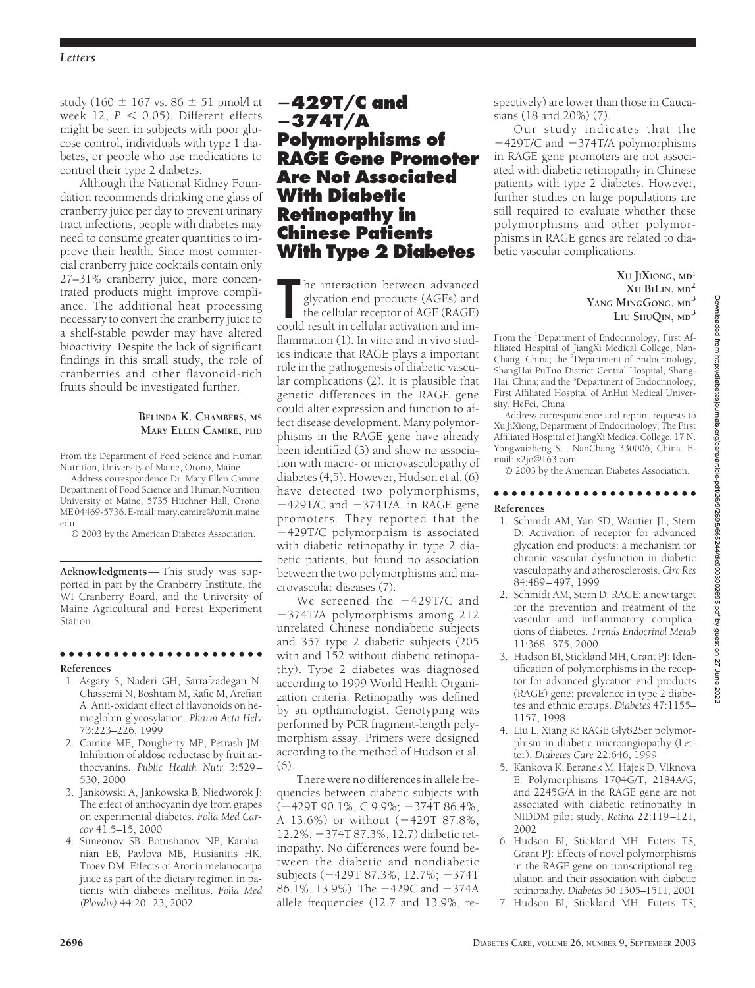### *Letters*

study (160  $\pm$  167 vs. 86  $\pm$  51 pmol/l at week 12,  $P < 0.05$ ). Different effects might be seen in subjects with poor glucose control, individuals with type 1 diabetes, or people who use medications to control their type 2 diabetes.

Although the National Kidney Foundation recommends drinking one glass of cranberry juice per day to prevent urinary tract infections, people with diabetes may need to consume greater quantities to improve their health. Since most commercial cranberry juice cocktails contain only 27–31% cranberry juice, more concentrated products might improve compliance. The additional heat processing necessary to convert the cranberry juice to a shelf-stable powder may have altered bioactivity. Despite the lack of significant findings in this small study, the role of cranberries and other flavonoid-rich fruits should be investigated further.

#### **BELINDA K. CHAMBERS, MS MARY ELLEN CAMIRE, PHD**

From the Department of Food Science and Human Nutrition, University of Maine, Orono, Maine.

Address correspondence Dr. Mary Ellen Camire, Department of Food Science and Human Nutrition, University of Maine, 5735 Hitchner Hall, Orono, ME04469-5736.E-mail:mary.camire@umit.maine. edu.

© 2003 by the American Diabetes Association.

**Acknowledgments**— This study was supported in part by the Cranberry Institute, the WI Cranberry Board, and the University of Maine Agricultural and Forest Experiment Station.

### ●●●●●●●●●●●●●●●●●●●●●●● **References**

- 1. Asgary S, Naderi GH, Sarrafzadegan N, Ghassemi N, Boshtam M, Rafie M, Arefian A: Anti-oxidant effect of flavonoids on hemoglobin glycosylation. *Pharm Acta Helv* 73:223–226, 1999
- 2. Camire ME, Dougherty MP, Petrash JM: Inhibition of aldose reductase by fruit anthocyanins. *Public Health Nutr* 3:529– 530, 2000
- 3. Jankowski A, Jankowska B, Niedworok J: The effect of anthocyanin dye from grapes on experimental diabetes. *Folia Med Carcov* 41:5–15, 2000
- 4. Simeonov SB, Botushanov NP, Karahanian EB, Pavlova MB, Husianitis HK, Troev DM: Effects of Aronia melanocarpa juice as part of the dietary regimen in patients with diabetes mellitus. *Folia Med (Plovdiv)* 44:20–23, 2002

## **429T/C and 374T/A Polymorphisms of RAGE Gene Promoter Are Not Associated With Diabetic Retinopathy in Chinese Patients With Type 2 Diabetes**

**The interaction between advanced glycation end products (AGEs) and the cellular receptor of AGE (RAGE) could result in cellular activation and im**he interaction between advanced glycation end products (AGEs) and the cellular receptor of AGE (RAGE) flammation (1). In vitro and in vivo studies indicate that RAGE plays a important role in the pathogenesis of diabetic vascular complications (2). It is plausible that genetic differences in the RAGE gene could alter expression and function to affect disease development. Many polymorphisms in the RAGE gene have already been identified (3) and show no association with macro- or microvasculopathy of diabetes (4,5). However, Hudson et al. (6) have detected two polymorphisms,  $-429T/C$  and  $-374T/A$ , in RAGE gene promoters. They reported that the 429T/C polymorphism is associated with diabetic retinopathy in type 2 diabetic patients, but found no association between the two polymorphisms and macrovascular diseases (7).

We screened the  $-429T/C$  and 374T/A polymorphisms among 212 unrelated Chinese nondiabetic subjects and 357 type 2 diabetic subjects (205 with and 152 without diabetic retinopathy). Type 2 diabetes was diagnosed according to 1999 World Health Organization criteria. Retinopathy was defined by an opthamologist. Genotyping was performed by PCR fragment-length polymorphism assay. Primers were designed according to the method of Hudson et al. (6).

There were no differences in allele frequencies between diabetic subjects with ( $-429$ T 90.1%, C 9.9%;  $-374$ T 86.4%, A 13.6%) or without (-429T 87.8%, 12.2%; 374T 87.3%, 12.7) diabetic retinopathy. No differences were found between the diabetic and nondiabetic subjects (-429T 87.3%, 12.7%; -374T 86.1%, 13.9%). The -429C and -374A allele frequencies (12.7 and 13.9%, respectively) are lower than those in Caucasians (18 and 20%) (7).

Our study indicates that the  $-429T/C$  and  $-374T/A$  polymorphisms in RAGE gene promoters are not associated with diabetic retinopathy in Chinese patients with type 2 diabetes. However, further studies on large populations are still required to evaluate whether these polymorphisms and other polymorphisms in RAGE genes are related to diabetic vascular complications.

> **XU JIXIONG, MD<sup>1</sup> XU BILIN, MD<sup>2</sup> YANG MINGGONG, MD<sup>3</sup> LIU SHUQIN, MD<sup>3</sup>**

From the <sup>1</sup>Department of Endocrinology, First Affiliated Hospital of JiangXi Medical College, Nan-Chang, China; the <sup>2</sup>Department of Endocrinology, ShangHai PuTuo District Central Hospital, Shang-Hai, China; and the <sup>3</sup>Department of Endocrinology, First Affiliated Hospital of AnHui Medical University, HeFei, China

Address correspondence and reprint requests to Xu JiXiong, Department of Endocrinology, The First Affiliated Hospital of JiangXi Medical College, 17 N. Yongwaizheng St., NanChang 330006, China. Email: x2jo@163.com.

© 2003 by the American Diabetes Association.

### ●●●●●●●●●●●●●●●●●●●●●●● **References**

- 1. Schmidt AM, Yan SD, Wautier JL, Stern D: Activation of receptor for advanced glycation end products: a mechanism for chronic vascular dysfunction in diabetic vasculopathy and atherosclerosis. *Circ Res* 84:489–497, 1999
- 2. Schmidt AM, Stern D: RAGE: a new target for the prevention and treatment of the vascular and imflammatory complications of diabetes. *Trends Endocrinol Metab* 11:368–375, 2000
- 3. Hudson BI, Stickland MH, Grant PJ: Identification of polymorphisms in the receptor for advanced glycation end products (RAGE) gene: prevalence in type 2 diabetes and ethnic groups. *Diabetes* 47:1155– 1157, 1998
- 4. Liu L, Xiang K: RAGE Gly82Ser polymorphism in diabetic microangiopathy (Letter). *Diabetes Care* 22:646, 1999
- 5. Kankova K, Beranek M, Hajek D, Vlknova E: Polymorphisms 1704G/T, 2184A/G, and 2245G/A in the RAGE gene are not associated with diabetic retinopathy in NIDDM pilot study. *Retina* 22:119–121, 2002
- 6. Hudson BI, Stickland MH, Futers TS, Grant PJ: Effects of novel polymorphisms in the RAGE gene on transcriptional regulation and their association with diabetic retinopathy. *Diabetes* 50:1505–1511, 2001
- 7. Hudson BI, Stickland MH, Futers TS,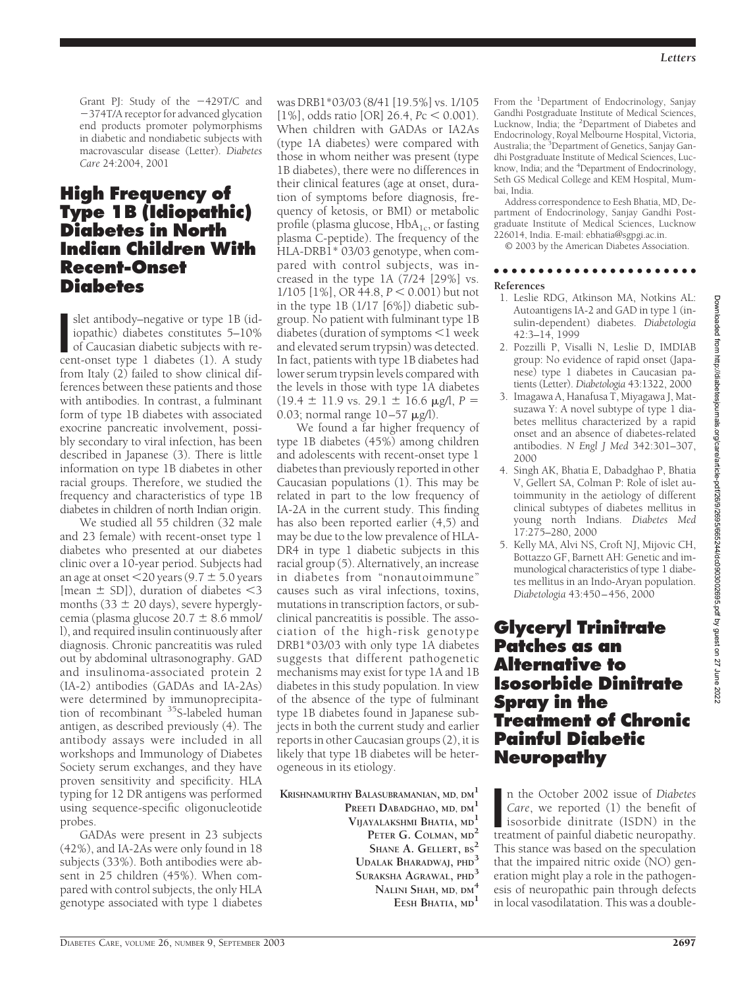Grant PJ: Study of the  $-429T/C$  and 374T/A receptor for advanced glycation end products promoter polymorphisms in diabetic and nondiabetic subjects with macrovascular disease (Letter). *Diabetes Care* 24:2004, 2001

## **High Frequency of Type 1B (Idiopathic) Diabetes in North Indian Children With Recent-Onset Diabetes**

slet antibody–negative or type 1B (idiopathic) diabetes constitutes 5–10% of Caucasian diabetic subjects with recent-onset type 1 diabetes (1). A study slet antibody–negative or type 1B (idiopathic) diabetes constitutes 5–10% of Caucasian diabetic subjects with refrom Italy (2) failed to show clinical differences between these patients and those with antibodies. In contrast, a fulminant form of type 1B diabetes with associated exocrine pancreatic involvement, possibly secondary to viral infection, has been described in Japanese (3). There is little information on type 1B diabetes in other racial groups. Therefore, we studied the frequency and characteristics of type 1B diabetes in children of north Indian origin.

We studied all 55 children (32 male and 23 female) with recent-onset type 1 diabetes who presented at our diabetes clinic over a 10-year period. Subjects had an age at onset  $\leq$  20 years (9.7  $\pm$  5.0 years [mean  $\pm$  SD]), duration of diabetes <3 months (33  $\pm$  20 days), severe hyperglycemia (plasma glucose  $20.7 \pm 8.6$  mmol/ l), and required insulin continuously after diagnosis. Chronic pancreatitis was ruled out by abdominal ultrasonography. GAD and insulinoma-associated protein 2 (IA-2) antibodies (GADAs and IA-2As) were determined by immunoprecipitation of recombinant <sup>35</sup>S-labeled human antigen, as described previously (4). The antibody assays were included in all workshops and Immunology of Diabetes Society serum exchanges, and they have proven sensitivity and specificity. HLA typing for 12 DR antigens was performed using sequence-specific oligonucleotide probes.

GADAs were present in 23 subjects (42%), and IA-2As were only found in 18 subjects (33%). Both antibodies were absent in 25 children (45%). When compared with control subjects, the only HLA genotype associated with type 1 diabetes was DRB1\*03/03 (8/41 [19.5%] vs. 1/105  $[1\%]$ , odds ratio  $[OR]$  26.4,  $Pc < 0.001$ ). When children with GADAs or IA2As (type 1A diabetes) were compared with those in whom neither was present (type 1B diabetes), there were no differences in their clinical features (age at onset, duration of symptoms before diagnosis, frequency of ketosis, or BMI) or metabolic profile (plasma glucose,  $HbA_{1c}$ , or fasting plasma C-peptide). The frequency of the HLA-DRB1\* 03/03 genotype, when compared with control subjects, was increased in the type 1A  $(7/24)$  [29%] vs. 1/105 [1%], OR 44.8,  $P < 0.001$ ) but not in the type 1B (1/17 [6%]) diabetic subgroup. No patient with fulminant type 1B diabetes (duration of symptoms  $\leq$  1 week and elevated serum trypsin) was detected. In fact, patients with type 1B diabetes had lower serum trypsin levels compared with the levels in those with type 1A diabetes  $(19.4 \pm 11.9 \text{ vs. } 29.1 \pm 16.6 \text{ µg/l}, P =$ 0.03; normal range  $10-57 \mu g/l$ ).

We found a far higher frequency of type 1B diabetes (45%) among children and adolescents with recent-onset type 1 diabetes than previously reported in other Caucasian populations (1). This may be related in part to the low frequency of IA-2A in the current study. This finding has also been reported earlier (4,5) and may be due to the low prevalence of HLA-DR4 in type 1 diabetic subjects in this racial group (5). Alternatively, an increase in diabetes from "nonautoimmune" causes such as viral infections, toxins, mutations in transcription factors, or subclinical pancreatitis is possible. The association of the high-risk genotype DRB1\*03/03 with only type 1A diabetes suggests that different pathogenetic mechanisms may exist for type 1A and 1B diabetes in this study population. In view of the absence of the type of fulminant type 1B diabetes found in Japanese subjects in both the current study and earlier reports in other Caucasian groups (2), it is likely that type 1B diabetes will be heterogeneous in its etiology.

**KRISHNAMURTHY BALASUBRAMANIAN, MD, DM1 PREETI DABADGHAO, MD, DM<sup>1</sup> VIJAYALAKSHMI BHATIA, MD<sup>1</sup> PETER G. COLMAN, MD<sup>2</sup> SHANE A. GELLERT, BS2 UDALAK BHARADWAJ, PHD<sup>3</sup> SURAKSHA AGRAWAL, PHD<sup>3</sup> NALINI SHAH, MD, DM<sup>4</sup> EESH BHATIA, MD<sup>1</sup>**

From the <sup>1</sup>Department of Endocrinology, Sanjay Gandhi Postgraduate Institute of Medical Sciences, Lucknow, India; the <sup>2</sup>Department of Diabetes and Endocrinology, Royal Melbourne Hospital, Victoria, Australia; the <sup>3</sup> Department of Genetics, Sanjay Gandhi Postgraduate Institute of Medical Sciences, Lucknow, India; and the <sup>4</sup>Department of Endocrinology, Seth GS Medical College and KEM Hospital, Mumbai, India.

Address correspondence to Eesh Bhatia, MD, Department of Endocrinology, Sanjay Gandhi Postgraduate Institute of Medical Sciences, Lucknow 226014, India. E-mail: ebhatia@sgpgi.ac.in.

© 2003 by the American Diabetes Association.

#### ●●●●●●●●●●●●●●●●●●●●●●●

#### **References**

- 1. Leslie RDG, Atkinson MA, Notkins AL: Autoantigens IA-2 and GAD in type 1 (insulin-dependent) diabetes. *Diabetologia* 42:3–14, 1999
- 2. Pozzilli P, Visalli N, Leslie D, IMDIAB group: No evidence of rapid onset (Japanese) type 1 diabetes in Caucasian patients (Letter). *Diabetologia* 43:1322, 2000
- 3. Imagawa A, Hanafusa T, Miyagawa J, Matsuzawa Y: A novel subtype of type 1 diabetes mellitus characterized by a rapid onset and an absence of diabetes-related antibodies. *N Engl J Med* 342:301–307, 2000
- 4. Singh AK, Bhatia E, Dabadghao P, Bhatia V, Gellert SA, Colman P: Role of islet autoimmunity in the aetiology of different clinical subtypes of diabetes mellitus in young north Indians. *Diabetes Med* 17:275–280, 2000
- 5. Kelly MA, Alvi NS, Croft NJ, Mijovic CH, Bottazzo GF, Barnett AH: Genetic and immunological characteristics of type 1 diabetes mellitus in an Indo-Aryan population. *Diabetologia* 43:450–456, 2000

## **Glyceryl Trinitrate Patches as an Alternative to Isosorbide Dinitrate Spray in the Treatment of Chronic Painful Diabetic Neuropathy**

In the October 2002 issue of *Diabetes*<br> *Care*, we reported (1) the benefit of<br>
isosorbide dinitrate (ISDN) in the<br>
treatment of painful diabetic neuropathy. n the October 2002 issue of *Diabetes Care*, we reported (1) the benefit of isosorbide dinitrate (ISDN) in the This stance was based on the speculation that the impaired nitric oxide (NO) generation might play a role in the pathogenesis of neuropathic pain through defects in local vasodilatation. This was a double-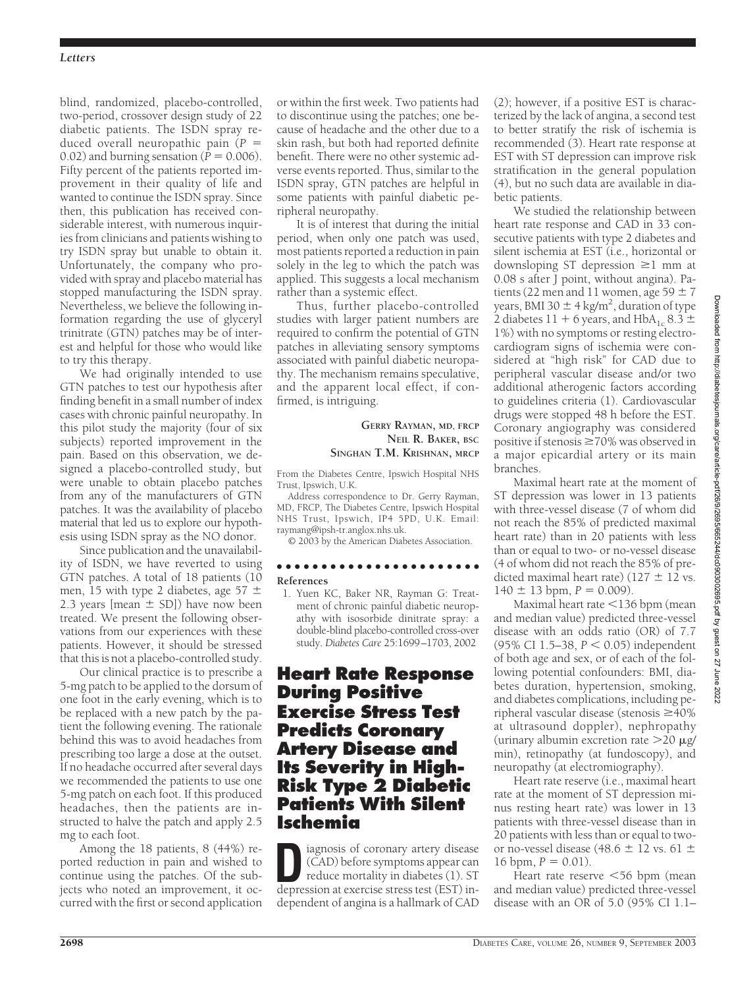### *Letters*

blind, randomized, placebo-controlled, two-period, crossover design study of 22 diabetic patients. The ISDN spray reduced overall neuropathic pain (*P* 0.02) and burning sensation ( $\bar{P} = 0.006$ ). Fifty percent of the patients reported improvement in their quality of life and wanted to continue the ISDN spray. Since then, this publication has received considerable interest, with numerous inquiries from clinicians and patients wishing to try ISDN spray but unable to obtain it. Unfortunately, the company who provided with spray and placebo material has stopped manufacturing the ISDN spray. Nevertheless, we believe the following information regarding the use of glyceryl trinitrate (GTN) patches may be of interest and helpful for those who would like to try this therapy.

We had originally intended to use GTN patches to test our hypothesis after finding benefit in a small number of index cases with chronic painful neuropathy. In this pilot study the majority (four of six subjects) reported improvement in the pain. Based on this observation, we designed a placebo-controlled study, but were unable to obtain placebo patches from any of the manufacturers of GTN patches. It was the availability of placebo material that led us to explore our hypothesis using ISDN spray as the NO donor.

Since publication and the unavailability of ISDN, we have reverted to using GTN patches. A total of 18 patients (10 men, 15 with type 2 diabetes, age 57  $\pm$ 2.3 years [mean  $\pm$  SD]) have now been treated. We present the following observations from our experiences with these patients. However, it should be stressed that this is not a placebo-controlled study.

Our clinical practice is to prescribe a 5-mg patch to be applied to the dorsum of one foot in the early evening, which is to be replaced with a new patch by the patient the following evening. The rationale behind this was to avoid headaches from prescribing too large a dose at the outset. If no headache occurred after several days we recommended the patients to use one 5-mg patch on each foot. If this produced headaches, then the patients are instructed to halve the patch and apply 2.5 mg to each foot.

Among the 18 patients, 8 (44%) reported reduction in pain and wished to continue using the patches. Of the subjects who noted an improvement, it occurred with the first or second application

or within the first week. Two patients had to discontinue using the patches; one because of headache and the other due to a skin rash, but both had reported definite benefit. There were no other systemic adverse events reported. Thus, similar to the ISDN spray, GTN patches are helpful in some patients with painful diabetic peripheral neuropathy.

It is of interest that during the initial period, when only one patch was used, most patients reported a reduction in pain solely in the leg to which the patch was applied. This suggests a local mechanism rather than a systemic effect.

Thus, further placebo-controlled studies with larger patient numbers are required to confirm the potential of GTN patches in alleviating sensory symptoms associated with painful diabetic neuropathy. The mechanism remains speculative, and the apparent local effect, if confirmed, is intriguing.

### **GERRY RAYMAN, MD, FRCP NEIL R. BAKER, BSC SINGHAN T.M. KRISHNAN, MRCP**

From the Diabetes Centre, Ipswich Hospital NHS Trust, Ipswich, U.K.

Address correspondence to Dr. Gerry Rayman, MD, FRCP, The Diabetes Centre, Ipswich Hospital NHS Trust, Ipswich, IP4 5PD, U.K. Email: raymang@ipsh-tr.anglox.nhs.uk.

© 2003 by the American Diabetes Association.

#### ●●●●●●●●●●●●●●●●●●●●●●● **References**

1. Yuen KC, Baker NR, Rayman G: Treatment of chronic painful diabetic neuropathy with isosorbide dinitrate spray: a double-blind placebo-controlled cross-over study. *Diabetes Care* 25:1699–1703, 2002

### **Heart Rate Response During Positive Exercise Stress Test Predicts Coronary Artery Disease and Its Severity in High-Risk Type 2 Diabetic Patients With Silent Ischemia**

**D**iagnosis of coronary artery disease<br>
reduce mortality in diabetes (1). ST<br>
denression at exercise stress test (FST) in-(CAD) before symptoms appear can depression at exercise stress test (EST) independent of angina is a hallmark of CAD

(2); however, if a positive EST is characterized by the lack of angina, a second test to better stratify the risk of ischemia is recommended (3). Heart rate response at EST with ST depression can improve risk stratification in the general population (4), but no such data are available in diabetic patients.

We studied the relationship between heart rate response and CAD in 33 consecutive patients with type 2 diabetes and silent ischemia at EST (i.e., horizontal or downsloping ST depression  $\geq 1$  mm at 0.08 s after J point, without angina). Patients (22 men and 11 women, age 59  $\pm$  7 years, BMI 30  $\pm$  4 kg/m<sup>2</sup>, duration of type 2 diabetes 11 + 6 years, and HbA<sub>1c</sub> 8.3  $\pm$ 1%) with no symptoms or resting electrocardiogram signs of ischemia were considered at "high risk" for CAD due to peripheral vascular disease and/or two additional atherogenic factors according to guidelines criteria (1). Cardiovascular drugs were stopped 48 h before the EST. Coronary angiography was considered positive if stenosis  $\geq 70\%$  was observed in a major epicardial artery or its main branches.

Maximal heart rate at the moment of ST depression was lower in 13 patients with three-vessel disease (7 of whom did not reach the 85% of predicted maximal heart rate) than in 20 patients with less than or equal to two- or no-vessel disease (4 of whom did not reach the 85% of predicted maximal heart rate) ( $127 \pm 12$  vs.  $140 \pm 13$  bpm,  $P = 0.009$ ).

Maximal heart rate <136 bpm (mean and median value) predicted three-vessel disease with an odds ratio (OR) of 7.7 (95% CI 1.5–38,  $P < 0.05$ ) independent of both age and sex, or of each of the following potential confounders: BMI, diabetes duration, hypertension, smoking, and diabetes complications, including peripheral vascular disease (stenosis  $\geq 40\%$ at ultrasound doppler), nephropathy (urinary albumin excretion rate  $>$  20  $\mu$ g/ min), retinopathy (at fundoscopy), and neuropathy (at electromiography).

Heart rate reserve (i.e., maximal heart rate at the moment of ST depression minus resting heart rate) was lower in 13 patients with three-vessel disease than in 20 patients with less than or equal to twoor no-vessel disease (48.6  $\pm$  12 vs. 61  $\pm$  $16$  bpm,  $P = 0.01$ ).

Heart rate reserve  $<$  56 bpm (mean and median value) predicted three-vessel disease with an OR of 5.0 (95% CI 1.1–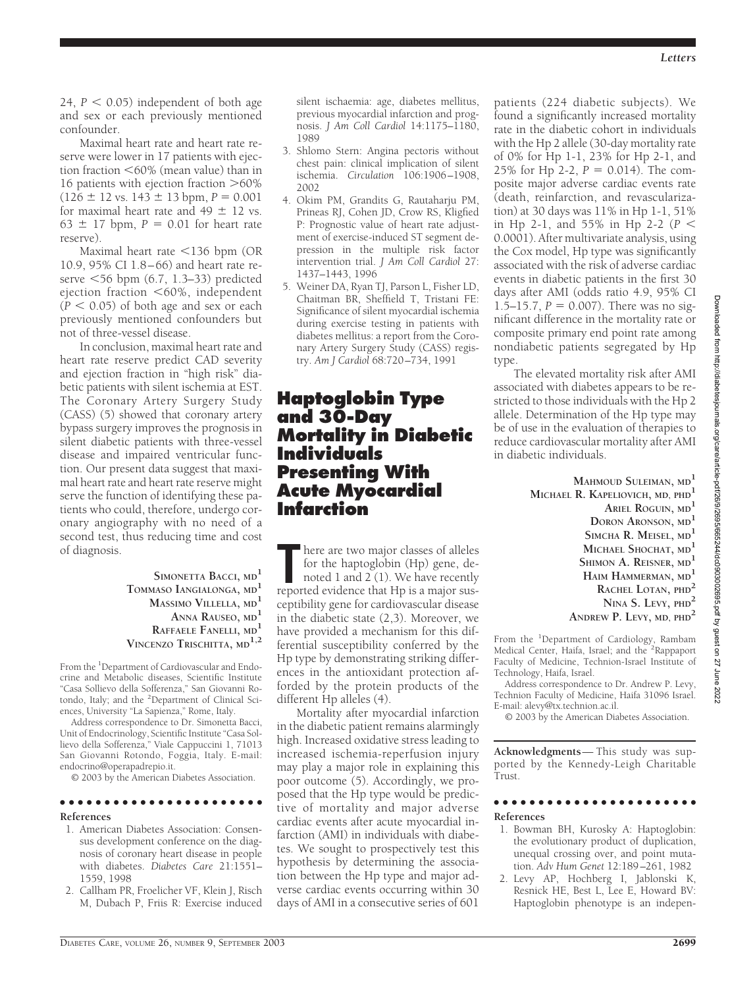24,  $P < 0.05$ ) independent of both age and sex or each previously mentioned confounder.

Maximal heart rate and heart rate reserve were lower in 17 patients with ejection fraction <60% (mean value) than in 16 patients with ejection fraction >60%  $(126 \pm 12 \text{ vs. } 143 \pm 13 \text{ bpm}, P = 0.001$ for maximal heart rate and  $49 \pm 12$  vs.  $63 \pm 17$  bpm,  $P = 0.01$  for heart rate reserve).

Maximal heart rate  $\leq$ 136 bpm (OR 10.9, 95% CI 1.8–66) and heart rate reserve 56 bpm (6.7, 1.3–33) predicted ejection fraction  $< 60\%$ , independent  $(P < 0.05)$  of both age and sex or each previously mentioned confounders but not of three-vessel disease.

In conclusion, maximal heart rate and heart rate reserve predict CAD severity and ejection fraction in "high risk" diabetic patients with silent ischemia at EST. The Coronary Artery Surgery Study (CASS) (5) showed that coronary artery bypass surgery improves the prognosis in silent diabetic patients with three-vessel disease and impaired ventricular function. Our present data suggest that maximal heart rate and heart rate reserve might serve the function of identifying these patients who could, therefore, undergo coronary angiography with no need of a second test, thus reducing time and cost of diagnosis.

> **SIMONETTA BACCI, MD<sup>1</sup> TOMMASO IANGIALONGA, MD<sup>1</sup> MASSIMO VILLELLA, MD<sup>1</sup> ANNA RAUSEO, MD<sup>1</sup> RAFFAELE FANELLI, MD<sup>1</sup> VINCENZO TRISCHITTA, MD1,2**

From the <sup>1</sup>Department of Cardiovascular and Endocrine and Metabolic diseases, Scientific Institute "Casa Sollievo della Sofferenza," San Giovanni Rotondo, Italy; and the <sup>2</sup>Department of Clinical Sciences, University "La Sapienza," Rome, Italy.

Address correspondence to Dr. Simonetta Bacci, Unit of Endocrinology, Scientific Institute "Casa Sollievo della Sofferenza," Viale Cappuccini 1, 71013 San Giovanni Rotondo, Foggia, Italy. E-mail: endocrino@operapadrepio.it.

© 2003 by the American Diabetes Association. ●●●●●●●●●●●●●●●●●●●●●●●

#### **References**

- 1. American Diabetes Association: Consensus development conference on the diagnosis of coronary heart disease in people with diabetes. *Diabetes Care* 21:1551– 1559, 1998
- 2. Callham PR, Froelicher VF, Klein J, Risch M, Dubach P, Friis R: Exercise induced

silent ischaemia: age, diabetes mellitus, previous myocardial infarction and prognosis. *J Am Coll Cardiol* 14:1175–1180, 1989

- 3. Shlomo Stern: Angina pectoris without chest pain: clinical implication of silent ischemia. *Circulation* 106:1906–1908, 2002
- 4. Okim PM, Grandits G, Rautaharju PM, Prineas RJ, Cohen JD, Crow RS, Kligfied P: Prognostic value of heart rate adjustment of exercise-induced ST segment depression in the multiple risk factor intervention trial. *J Am Coll Cardiol* 27: 1437–1443, 1996
- 5. Weiner DA, Ryan TJ, Parson L, Fisher LD, Chaitman BR, Sheffield T, Tristani FE: Significance of silent myocardial ischemia during exercise testing in patients with diabetes mellitus: a report from the Coronary Artery Surgery Study (CASS) registry. *Am J Cardiol* 68:720–734, 1991

## **Haptoglobin Type and 30-Day Mortality in Diabetic Individuals Presenting With Acute Myocardial Infarction**

There are two major classes of alleles for the haptoglobin (Hp) gene, denoted 1 and 2 (1). We have recently reported evidence that Hp is a major sushere are two major classes of alleles for the haptoglobin (Hp) gene, denoted 1 and 2 (1). We have recently ceptibility gene for cardiovascular disease in the diabetic state (2,3). Moreover, we have provided a mechanism for this differential susceptibility conferred by the Hp type by demonstrating striking differences in the antioxidant protection afforded by the protein products of the different Hp alleles (4).

Mortality after myocardial infarction in the diabetic patient remains alarmingly high. Increased oxidative stress leading to increased ischemia-reperfusion injury may play a major role in explaining this poor outcome (5). Accordingly, we proposed that the Hp type would be predictive of mortality and major adverse cardiac events after acute myocardial infarction (AMI) in individuals with diabetes. We sought to prospectively test this hypothesis by determining the association between the Hp type and major adverse cardiac events occurring within 30 days of AMI in a consecutive series of 601

patients (224 diabetic subjects). We found a significantly increased mortality rate in the diabetic cohort in individuals with the Hp 2 allele (30-day mortality rate of 0% for Hp 1-1, 23% for Hp 2-1, and 25% for Hp 2-2,  $P = 0.014$ ). The composite major adverse cardiac events rate (death, reinfarction, and revascularization) at 30 days was 11% in Hp 1-1, 51% in Hp 2-1, and 55% in Hp 2-2 (*P* 0.0001). After multivariate analysis, using the Cox model, Hp type was significantly associated with the risk of adverse cardiac events in diabetic patients in the first 30 days after AMI (odds ratio 4.9, 95% CI 1.5–15.7,  $P = 0.007$ ). There was no significant difference in the mortality rate or composite primary end point rate among nondiabetic patients segregated by Hp type.

The elevated mortality risk after AMI associated with diabetes appears to be restricted to those individuals with the Hp 2 allele. Determination of the Hp type may be of use in the evaluation of therapies to reduce cardiovascular mortality after AMI in diabetic individuals.

> **MAHMOUD SULEIMAN, MD<sup>1</sup> MICHAEL R. KAPELIOVICH, MD, PHD<sup>1</sup> ARIEL ROGUIN, MD<sup>1</sup> DORON ARONSON, MD1 SIMCHA R. MEISEL, MD<sup>1</sup> MICHAEL SHOCHAT, MD<sup>1</sup> SHIMON A. REISNER, MD<sup>1</sup> HAIM HAMMERMAN, MD<sup>1</sup> RACHEL LOTAN, PHD2 NINA S. LEVY, PHD2 ANDREW P. LEVY, MD, PHD2**

From the <sup>1</sup>Department of Cardiology, Rambam Medical Center, Haifa, Israel; and the <sup>2</sup>Rappaport Faculty of Medicine, Technion-Israel Institute of Technology, Haifa, Israel.

Address correspondence to Dr. Andrew P. Levy, Technion Faculty of Medicine, Haifa 31096 Israel. E-mail: alevy@tx.technion.ac.il.

© 2003 by the American Diabetes Association.

**Acknowledgments**— This study was supported by the Kennedy-Leigh Charitable Trust.

#### ●●●●●●●●●●●●●●●●●●●●●●● **References**

- 1. Bowman BH, Kurosky A: Haptoglobin: the evolutionary product of duplication, unequal crossing over, and point mutation. *Adv Hum Genet* 12:189–261, 1982
- 2. Levy AP, Hochberg I, Jablonski K, Resnick HE, Best L, Lee E, Howard BV: Haptoglobin phenotype is an indepen-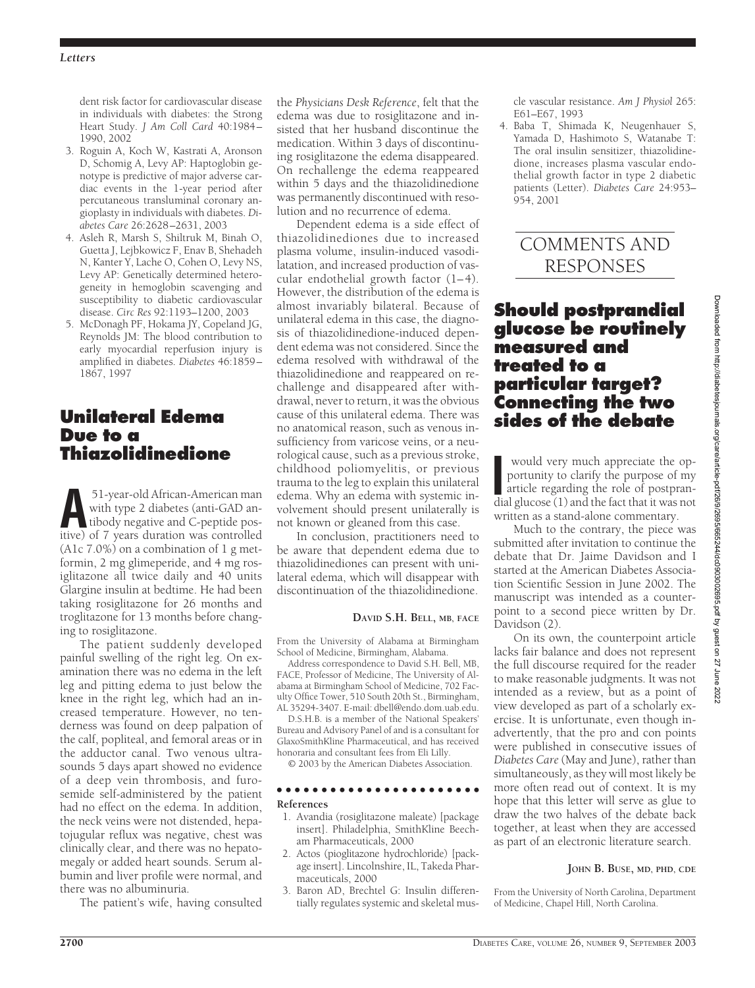dent risk factor for cardiovascular disease in individuals with diabetes: the Strong Heart Study. *J Am Coll Card* 40:1984– 1990, 2002

- 3. Roguin A, Koch W, Kastrati A, Aronson D, Schomig A, Levy AP: Haptoglobin genotype is predictive of major adverse cardiac events in the 1-year period after percutaneous transluminal coronary angioplasty in individuals with diabetes. *Diabetes Care* 26:2628–2631, 2003
- 4. Asleh R, Marsh S, Shiltruk M, Binah O, Guetta J, Lejbkowicz F, Enav B, Shehadeh N, Kanter Y, Lache O, Cohen O, Levy NS, Levy AP: Genetically determined heterogeneity in hemoglobin scavenging and susceptibility to diabetic cardiovascular disease. *Circ Res* 92:1193–1200, 2003
- 5. McDonagh PF, Hokama JY, Copeland JG, Reynolds JM: The blood contribution to early myocardial reperfusion injury is amplified in diabetes. *Diabetes* 46:1859– 1867, 1997

## **Unilateral Edema Due to a Thiazolidinedione**

51-year-old African-American man<br>with type 2 diabetes (anti-GAD an-<br>tibody negative and C-peptide pos-<br>itive) of 7 vears duration was controlled with type 2 diabetes (anti-GAD anitive) of 7 years duration was controlled (A1c 7.0%) on a combination of 1 g metformin, 2 mg glimeperide, and 4 mg rosiglitazone all twice daily and 40 units Glargine insulin at bedtime. He had been taking rosiglitazone for 26 months and troglitazone for 13 months before changing to rosiglitazone.

The patient suddenly developed painful swelling of the right leg. On examination there was no edema in the left leg and pitting edema to just below the knee in the right leg, which had an increased temperature. However, no tenderness was found on deep palpation of the calf, popliteal, and femoral areas or in the adductor canal. Two venous ultrasounds 5 days apart showed no evidence of a deep vein thrombosis, and furosemide self-administered by the patient had no effect on the edema. In addition, the neck veins were not distended, hepatojugular reflux was negative, chest was clinically clear, and there was no hepatomegaly or added heart sounds. Serum albumin and liver profile were normal, and there was no albuminuria.

The patient's wife, having consulted

the *Physicians Desk Reference*, felt that the edema was due to rosiglitazone and insisted that her husband discontinue the medication. Within 3 days of discontinuing rosiglitazone the edema disappeared. On rechallenge the edema reappeared within 5 days and the thiazolidinedione was permanently discontinued with resolution and no recurrence of edema.

Dependent edema is a side effect of thiazolidinediones due to increased plasma volume, insulin-induced vasodilatation, and increased production of vascular endothelial growth factor  $(1-4)$ . However, the distribution of the edema is almost invariably bilateral. Because of unilateral edema in this case, the diagnosis of thiazolidinedione-induced dependent edema was not considered. Since the edema resolved with withdrawal of the thiazolidinedione and reappeared on rechallenge and disappeared after withdrawal, never to return, it was the obvious cause of this unilateral edema. There was no anatomical reason, such as venous insufficiency from varicose veins, or a neurological cause, such as a previous stroke, childhood poliomyelitis, or previous trauma to the leg to explain this unilateral edema. Why an edema with systemic involvement should present unilaterally is not known or gleaned from this case.

In conclusion, practitioners need to be aware that dependent edema due to thiazolidinediones can present with unilateral edema, which will disappear with discontinuation of the thiazolidinedione.

### **DAVID S.H. BELL, MB, FACE**

From the University of Alabama at Birmingham School of Medicine, Birmingham, Alabama.

Address correspondence to David S.H. Bell, MB, FACE, Professor of Medicine, The University of Alabama at Birmingham School of Medicine, 702 Faculty Office Tower, 510 South 20th St., Birmingham, AL 35294-3407. E-mail: dbell@endo.dom.uab.edu.

D.S.H.B. is a member of the National Speakers' Bureau and Advisory Panel of and is a consultant for GlaxoSmithKline Pharmaceutical, and has received honoraria and consultant fees from Eli Lilly.

© 2003 by the American Diabetes Association.

#### ●●●●●●●●●●●●●●●●●●●●●●● **References**

- 1. Avandia (rosiglitazone maleate) [package insert]. Philadelphia, SmithKline Beecham Pharmaceuticals, 2000
- 2. Actos (pioglitazone hydrochloride) [package insert]. Lincolnshire, IL, Takeda Pharmaceuticals, 2000
- 3. Baron AD, Brechtel G: Insulin differentially regulates systemic and skeletal mus-

cle vascular resistance. *Am J Physiol* 265: E61–E67, 1993

4. Baba T, Shimada K, Neugenhauer S, Yamada D, Hashimoto S, Watanabe T: The oral insulin sensitizer, thiazolidinedione, increases plasma vascular endothelial growth factor in type 2 diabetic patients (Letter). *Diabetes Care* 24:953– 954, 2001

# COMMENTS AND RESPONSES

### **Should postprandial glucose be routinely measured and treated to a particular target? Connecting the two sides of the debate**

would very much appreciate the opportunity to clarify the purpose of my article regarding the role of postprandial glucose (1) and the fact that it was not would very much appreciate the opportunity to clarify the purpose of my article regarding the role of postpranwritten as a stand-alone commentary.

Much to the contrary, the piece was submitted after invitation to continue the debate that Dr. Jaime Davidson and I started at the American Diabetes Association Scientific Session in June 2002. The manuscript was intended as a counterpoint to a second piece written by Dr. Davidson (2).

On its own, the counterpoint article lacks fair balance and does not represent the full discourse required for the reader to make reasonable judgments. It was not intended as a review, but as a point of view developed as part of a scholarly exercise. It is unfortunate, even though inadvertently, that the pro and con points were published in consecutive issues of *Diabetes Care* (May and June), rather than simultaneously, as they will most likely be more often read out of context. It is my hope that this letter will serve as glue to draw the two halves of the debate back together, at least when they are accessed as part of an electronic literature search.

### **JOHN B. BUSE, MD, PHD, CDE**

From the University of North Carolina, Department of Medicine, Chapel Hill, North Carolina.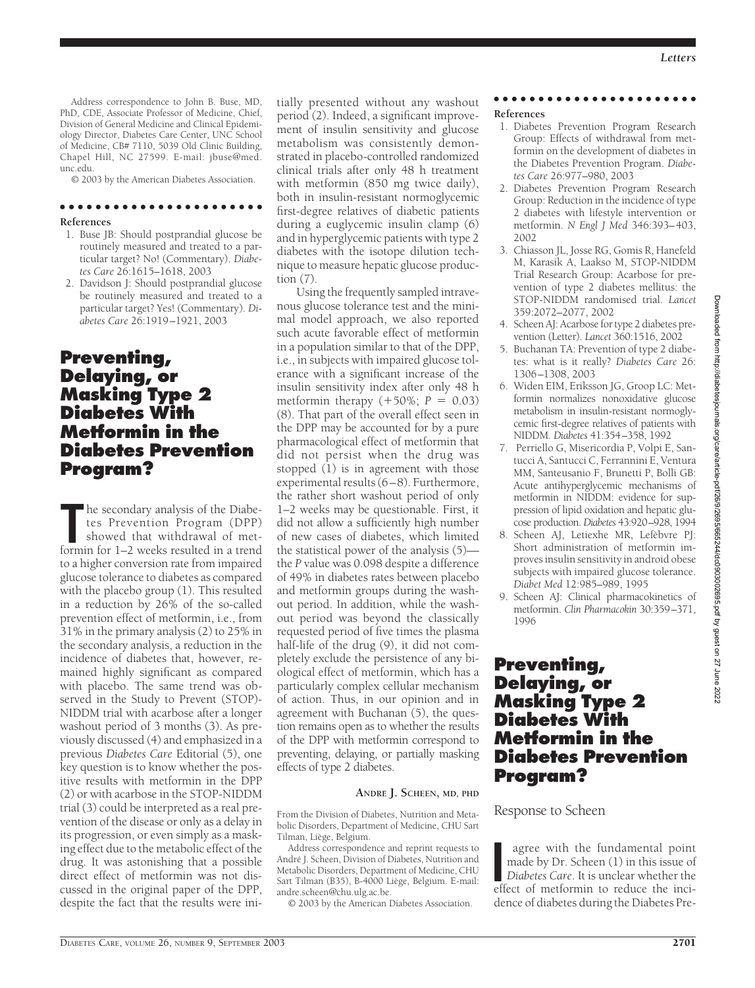Address correspondence to John B. Buse, MD, PhD, CDE, Associate Professor of Medicine, Chief, Division of General Medicine and Clinical Epidemiology Director, Diabetes Care Center, UNC School of Medicine, CB# 7110, 5039 Old Clinic Building, Chapel Hill, NC 27599. E-mail: jbuse@med. unc.edu.

© 2003 by the American Diabetes Association.

#### ●●●●●●●●●●●●●●●●●●●●●●● **References**

- 1. Buse JB: Should postprandial glucose be routinely measured and treated to a particular target? No! (Commentary). *Diabetes Care* 26:1615–1618, 2003
- 2. Davidson J: Should postprandial glucose be routinely measured and treated to a particular target? Yes! (Commentary). *Diabetes Care* 26:1919–1921, 2003

### **Preventing, Delaying, or Masking Type 2 Diabetes With Metformin in the Diabetes Prevention Program?**

The secondary analysis of the Diabetes Prevention Program (DPP) showed that withdrawal of met-formin for 1–2 weeks resulted in a trend he secondary analysis of the Diabetes Prevention Program (DPP) showed that withdrawal of metto a higher conversion rate from impaired glucose tolerance to diabetes as compared with the placebo group (1). This resulted in a reduction by 26% of the so-called prevention effect of metformin, i.e., from 31% in the primary analysis (2) to 25% in the secondary analysis, a reduction in the incidence of diabetes that, however, remained highly significant as compared with placebo. The same trend was observed in the Study to Prevent (STOP)- NIDDM trial with acarbose after a longer washout period of 3 months (3). As previously discussed (4) and emphasized in a previous *Diabetes Care* Editorial (5), one key question is to know whether the positive results with metformin in the DPP (2) or with acarbose in the STOP-NIDDM trial (3) could be interpreted as a real prevention of the disease or only as a delay in its progression, or even simply as a masking effect due to the metabolic effect of the drug. It was astonishing that a possible direct effect of metformin was not discussed in the original paper of the DPP, despite the fact that the results were ini-

tially presented without any washout period (2). Indeed, a significant improvement of insulin sensitivity and glucose metabolism was consistently demonstrated in placebo-controlled randomized clinical trials after only 48 h treatment with metformin (850 mg twice daily), both in insulin-resistant normoglycemic first-degree relatives of diabetic patients during a euglycemic insulin clamp (6) and in hyperglycemic patients with type 2 diabetes with the isotope dilution technique to measure hepatic glucose production (7).

Using the frequently sampled intravenous glucose tolerance test and the minimal model approach, we also reported such acute favorable effect of metformin in a population similar to that of the DPP, i.e., in subjects with impaired glucose tolerance with a significant increase of the insulin sensitivity index after only 48 h metformin therapy  $(+50\%; P = 0.03)$ (8). That part of the overall effect seen in the DPP may be accounted for by a pure pharmacological effect of metformin that did not persist when the drug was stopped (1) is in agreement with those experimental results (6–8). Furthermore, the rather short washout period of only 1–2 weeks may be questionable. First, it did not allow a sufficiently high number of new cases of diabetes, which limited the statistical power of the analysis (5) the *P* value was 0.098 despite a difference of 49% in diabetes rates between placebo and metformin groups during the washout period. In addition, while the washout period was beyond the classically requested period of five times the plasma half-life of the drug (9), it did not completely exclude the persistence of any biological effect of metformin, which has a particularly complex cellular mechanism of action. Thus, in our opinion and in agreement with Buchanan (5), the question remains open as to whether the results of the DPP with metformin correspond to preventing, delaying, or partially masking effects of type 2 diabetes.

#### **ANDRE´ J. SCHEEN, MD, PHD**

From the Division of Diabetes, Nutrition and Metabolic Disorders, Department of Medicine, CHU Sart Tilman, Liège, Belgium.

Address correspondence and reprint requests to André J. Scheen, Division of Diabetes, Nutrition and Metabolic Disorders, Department of Medicine, CHU Sart Tilman (B35), B-4000 Liège, Belgium. E-mail: andre.scheen@chu.ulg.ac.be.

© 2003 by the American Diabetes Association.

### ●●●●●●●●●●●●●●●●●●●●●●●

#### **References**

- 1. Diabetes Prevention Program Research Group: Effects of withdrawal from metformin on the development of diabetes in the Diabetes Prevention Program. *Diabetes Care* 26:977–980, 2003
- 2. Diabetes Prevention Program Research Group: Reduction in the incidence of type 2 diabetes with lifestyle intervention or metformin. *N Engl J Med* 346:393–403, 2002
- 3. Chiasson JL, Josse RG, Gomis R, Hanefeld M, Karasik A, Laakso M, STOP-NIDDM Trial Research Group: Acarbose for prevention of type 2 diabetes mellitus: the STOP-NIDDM randomised trial. *Lancet* 359:2072–2077, 2002
- 4. Scheen AJ: Acarbose for type 2 diabetes prevention (Letter). *Lancet* 360:1516, 2002
- 5. Buchanan TA: Prevention of type 2 diabetes: what is it really? *Diabetes Care* 26: 1306–1308, 2003
- 6. Widen EIM, Eriksson JG, Groop LC: Metformin normalizes nonoxidative glucose metabolism in insulin-resistant normoglycemic first-degree relatives of patients with NIDDM. *Diabetes* 41:354–358, 1992
- 7. Perriello G, Misericordia P, Volpi E, Santucci A, Santucci C, Ferrannini E, Ventura MM, Santeusanio F, Brunetti P, Bolli GB: Acute antihyperglycemic mechanisms of metformin in NIDDM: evidence for suppression of lipid oxidation and hepatic glucose production. *Diabetes* 43:920–928, 1994
- 8. Scheen AJ, Letiexhe MR, Lefèbvre PJ: Short administration of metformin improves insulin sensitivity in android obese subjects with impaired glucose tolerance. *Diabet Med* 12:985–989, 1995
- 9. Scheen AJ: Clinical pharmacokinetics of metformin. *Clin Pharmacokin* 30:359–371, 1996

## **Preventing, Delaying, or Masking Type 2 Diabetes With Metformin in the Diabetes Prevention Program?**

### Response to Scheen

agree with the fundamental point<br>
made by Dr. Scheen (1) in this issue of<br>
Diabetes Care. It is unclear whether the<br>
effect of metformin to reduce the inciagree with the fundamental point made by Dr. Scheen (1) in this issue of *Diabetes Care*. It is unclear whether the dence of diabetes during the Diabetes Pre-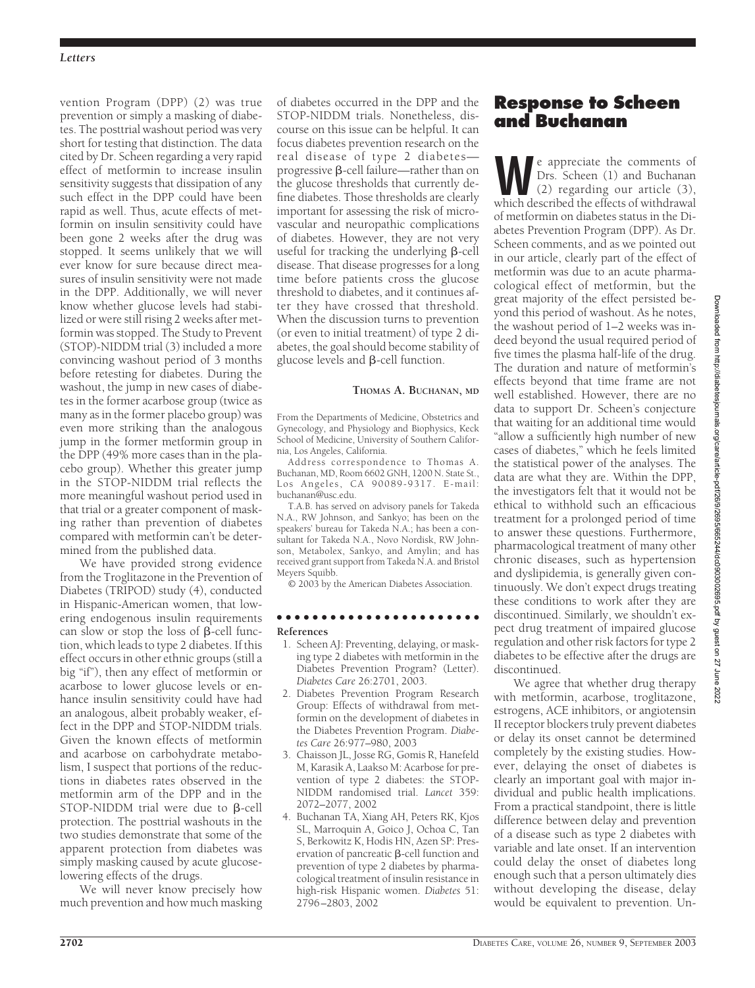vention Program (DPP) (2) was true prevention or simply a masking of diabetes. The posttrial washout period was very short for testing that distinction. The data cited by Dr. Scheen regarding a very rapid effect of metformin to increase insulin sensitivity suggests that dissipation of any such effect in the DPP could have been rapid as well. Thus, acute effects of metformin on insulin sensitivity could have been gone 2 weeks after the drug was stopped. It seems unlikely that we will ever know for sure because direct measures of insulin sensitivity were not made in the DPP. Additionally, we will never know whether glucose levels had stabilized or were still rising 2 weeks after metformin was stopped. The Study to Prevent (STOP)-NIDDM trial (3) included a more convincing washout period of 3 months before retesting for diabetes. During the washout, the jump in new cases of diabetes in the former acarbose group (twice as many as in the former placebo group) was even more striking than the analogous jump in the former metformin group in the DPP (49% more cases than in the placebo group). Whether this greater jump in the STOP-NIDDM trial reflects the more meaningful washout period used in that trial or a greater component of masking rather than prevention of diabetes compared with metformin can't be determined from the published data.

We have provided strong evidence from the Troglitazone in the Prevention of Diabetes (TRIPOD) study (4), conducted in Hispanic-American women, that lowering endogenous insulin requirements can slow or stop the loss of  $\beta$ -cell function, which leads to type 2 diabetes. If this effect occurs in other ethnic groups (still a big "if"), then any effect of metformin or acarbose to lower glucose levels or enhance insulin sensitivity could have had an analogous, albeit probably weaker, effect in the DPP and STOP-NIDDM trials. Given the known effects of metformin and acarbose on carbohydrate metabolism, I suspect that portions of the reductions in diabetes rates observed in the metformin arm of the DPP and in the STOP-NIDDM trial were due to  $\beta$ -cell protection. The posttrial washouts in the two studies demonstrate that some of the apparent protection from diabetes was simply masking caused by acute glucoselowering effects of the drugs.

We will never know precisely how much prevention and how much masking

of diabetes occurred in the DPP and the STOP-NIDDM trials. Nonetheless, discourse on this issue can be helpful. It can focus diabetes prevention research on the real disease of type 2 diabetes progressive  $\beta$ -cell failure—rather than on the glucose thresholds that currently define diabetes. Those thresholds are clearly important for assessing the risk of microvascular and neuropathic complications of diabetes. However, they are not very useful for tracking the underlying  $\beta$ -cell disease. That disease progresses for a long time before patients cross the glucose threshold to diabetes, and it continues after they have crossed that threshold. When the discussion turns to prevention (or even to initial treatment) of type 2 diabetes, the goal should become stability of glucose levels and  $\beta$ -cell function.

### **THOMAS A. BUCHANAN, MD**

From the Departments of Medicine, Obstetrics and Gynecology, and Physiology and Biophysics, Keck School of Medicine, University of Southern California, Los Angeles, California.

Address correspondence to Thomas A. Buchanan, MD, Room 6602 GNH, 1200 N. State St., Los Angeles, CA 90089-9317. E-mail: buchanan@usc.edu.

T.A.B. has served on advisory panels for Takeda N.A., RW Johnson, and Sankyo; has been on the speakers' bureau for Takeda N.A.; has been a consultant for Takeda N.A., Novo Nordisk, RW Johnson, Metabolex, Sankyo, and Amylin; and has received grant support from Takeda N.A. and Bristol Meyers Squibb.

© 2003 by the American Diabetes Association.

#### ●●●●●●●●●●●●●●●●●●●●●●● **References**

- 1. Scheen AJ: Preventing, delaying, or masking type 2 diabetes with metformin in the Diabetes Prevention Program? (Letter). *Diabetes Care* 26:2701, 2003.
- 2. Diabetes Prevention Program Research Group: Effects of withdrawal from metformin on the development of diabetes in the Diabetes Prevention Program. *Diabetes Care* 26:977–980, 2003
- 3. Chaisson JL, Josse RG, Gomis R, Hanefeld M, Karasik A, Laakso M: Acarbose for prevention of type 2 diabetes: the STOP-NIDDM randomised trial. *Lancet* 359: 2072–2077, 2002
- 4. Buchanan TA, Xiang AH, Peters RK, Kjos SL, Marroquin A, Goico J, Ochoa C, Tan S, Berkowitz K, Hodis HN, Azen SP: Preservation of pancreatic  $\beta$ -cell function and prevention of type 2 diabetes by pharmacological treatment of insulin resistance in high-risk Hispanic women. *Diabetes* 51: 2796–2803, 2002

## **Response to Scheen and Buchanan**

**We appreciate the comments of**<br>
(Drs. Scheen (1) and Buchanan<br>
(2) regarding our article (3),<br>
which described the effects of withdrawal Drs. Scheen (1) and Buchanan which described the effects of withdrawal of metformin on diabetes status in the Diabetes Prevention Program (DPP). As Dr. Scheen comments, and as we pointed out in our article, clearly part of the effect of metformin was due to an acute pharmacological effect of metformin, but the great majority of the effect persisted beyond this period of washout. As he notes, the washout period of 1–2 weeks was indeed beyond the usual required period of five times the plasma half-life of the drug. The duration and nature of metformin's effects beyond that time frame are not well established. However, there are no data to support Dr. Scheen's conjecture that waiting for an additional time would "allow a sufficiently high number of new cases of diabetes," which he feels limited the statistical power of the analyses. The data are what they are. Within the DPP, the investigators felt that it would not be ethical to withhold such an efficacious treatment for a prolonged period of time to answer these questions. Furthermore, pharmacological treatment of many other chronic diseases, such as hypertension and dyslipidemia, is generally given continuously. We don't expect drugs treating these conditions to work after they are discontinued. Similarly, we shouldn't expect drug treatment of impaired glucose regulation and other risk factors for type 2 diabetes to be effective after the drugs are discontinued.

We agree that whether drug therapy with metformin, acarbose, troglitazone, estrogens, ACE inhibitors, or angiotensin II receptor blockers truly prevent diabetes or delay its onset cannot be determined completely by the existing studies. However, delaying the onset of diabetes is clearly an important goal with major individual and public health implications. From a practical standpoint, there is little difference between delay and prevention of a disease such as type 2 diabetes with variable and late onset. If an intervention could delay the onset of diabetes long enough such that a person ultimately dies without developing the disease, delay would be equivalent to prevention. Un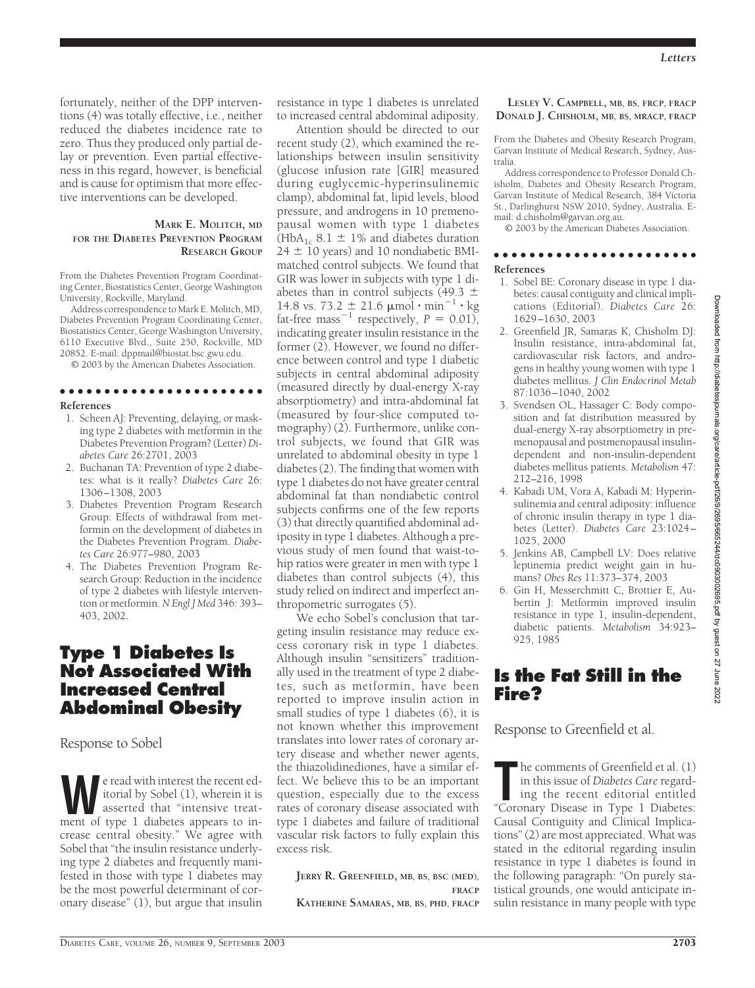fortunately, neither of the DPP interventions (4) was totally effective, i.e., neither reduced the diabetes incidence rate to zero. Thus they produced only partial delay or prevention. Even partial effectiveness in this regard, however, is beneficial and is cause for optimism that more effective interventions can be developed.

#### **MARK E. MOLITCH, MD FOR THE DIABETES PREVENTION PROGRAM RESEARCH GROUP**

From the Diabetes Prevention Program Coordinating Center, Biostatistics Center, George Washington University, Rockville, Maryland.

Address correspondence to Mark E. Molitch, MD, Diabetes Prevention Program Coordinating Center, Biostatistics Center, George Washington University, 6110 Executive Blvd., Suite 250, Rockville, MD 20852. E-mail: dppmail@biostat.bsc.gwu.edu.

© 2003 by the American Diabetes Association.

### ●●●●●●●●●●●●●●●●●●●●●●●

- **References**
- 1. Scheen AJ: Preventing, delaying, or masking type 2 diabetes with metformin in the Diabetes Prevention Program? (Letter) *Diabetes Care* 26:2701, 2003
- 2. Buchanan TA: Prevention of type 2 diabetes: what is it really? *Diabetes Care* 26: 1306–1308, 2003
- 3. Diabetes Prevention Program Research Group: Effects of withdrawal from metformin on the development of diabetes in the Diabetes Prevention Program. *Diabetes Care* 26:977–980, 2003
- 4. The Diabetes Prevention Program Research Group: Reduction in the incidence of type 2 diabetes with lifestyle intervention or metformin.*N Engl J Med* 346: 393– 403, 2002.

## **Type 1 Diabetes Is Not Associated With Increased Central Abdominal Obesity**

Response to Sobel

**We read with interest the recent ed-**<br>
itorial by Sobel (1), wherein it is<br>
asserted that "intensive treat-<br>
ment of type 1 diabetes appears to initorial by Sobel (1), wherein it is ment of type 1 diabetes appears to increase central obesity." We agree with Sobel that "the insulin resistance underlying type 2 diabetes and frequently manifested in those with type 1 diabetes may be the most powerful determinant of coronary disease" (1), but argue that insulin

resistance in type 1 diabetes is unrelated to increased central abdominal adiposity.

Attention should be directed to our recent study (2), which examined the relationships between insulin sensitivity (glucose infusion rate [GIR] measured during euglycemic-hyperinsulinemic clamp), abdominal fat, lipid levels, blood pressure, and androgens in 10 premenopausal women with type 1 diabetes (HbA<sub>1c</sub> 8.1  $\pm$  1% and diabetes duration  $24 \pm 10$  years) and 10 nondiabetic BMImatched control subjects. We found that GIR was lower in subjects with type 1 diabetes than in control subjects (49.3  $\pm$ 14.8 vs. 73.2  $\pm$  21.6  $\mu$ mol  $\cdot$  min<sup>-1</sup>  $\cdot$  kg fat-free mass<sup>-1</sup> respectively,  $P = 0.01$ ), indicating greater insulin resistance in the former (2). However, we found no difference between control and type 1 diabetic subjects in central abdominal adiposity (measured directly by dual-energy X-ray absorptiometry) and intra-abdominal fat (measured by four-slice computed tomography) (2). Furthermore, unlike control subjects, we found that GIR was unrelated to abdominal obesity in type 1 diabetes (2). The finding that women with type 1 diabetes do not have greater central abdominal fat than nondiabetic control subjects confirms one of the few reports (3) that directly quantified abdominal adiposity in type 1 diabetes. Although a previous study of men found that waist-tohip ratios were greater in men with type 1 diabetes than control subjects (4), this study relied on indirect and imperfect anthropometric surrogates (5).

We echo Sobel's conclusion that targeting insulin resistance may reduce excess coronary risk in type 1 diabetes. Although insulin "sensitizers" traditionally used in the treatment of type 2 diabetes, such as metformin, have been reported to improve insulin action in small studies of type 1 diabetes (6), it is not known whether this improvement translates into lower rates of coronary artery disease and whether newer agents, the thiazolidinediones, have a similar effect. We believe this to be an important question, especially due to the excess rates of coronary disease associated with type 1 diabetes and failure of traditional vascular risk factors to fully explain this excess risk.

**JERRY R. GREENFIELD, MB, BS, BSC (MED), FRACP KATHERINE SAMARAS, MB, BS, PHD, FRACP**

**LESLEY V. CAMPBELL, MB, BS, FRCP, FRACP DONALD J. CHISHOLM, MB, BS, MRACP, FRACP**

From the Diabetes and Obesity Research Program, Garvan Institute of Medical Research, Sydney, Australia.

Address correspondence to Professor Donald Chisholm, Diabetes and Obesity Research Program, Garvan Institute of Medical Research, 384 Victoria St., Darlinghurst NSW 2010, Sydney, Australia. Email: d.chisholm@garvan.org.au.

© 2003 by the American Diabetes Association.

#### ●●●●●●●●●●●●●●●●●●●●●●●

### **References**

- 1. Sobel BE: Coronary disease in type 1 diabetes: causal contiguity and clinical implications (Editorial). *Diabetes Care* 26: 1629–1630, 2003
- 2. Greenfield JR, Samaras K, Chisholm DJ: Insulin resistance, intra-abdominal fat, cardiovascular risk factors, and androgens in healthy young women with type 1 diabetes mellitus. *J Clin Endocrinol Metab* 87:1036–1040, 2002
- 3. Svendsen OL, Hassager C: Body composition and fat distribution measured by dual-energy X-ray absorptiometry in premenopausal and postmenopausal insulindependent and non-insulin-dependent diabetes mellitus patients. *Metabolism* 47: 212–216, 1998
- 4. Kabadi UM, Vora A, Kabadi M: Hyperinsulinemia and central adiposity: influence of chronic insulin therapy in type 1 diabetes (Letter). *Diabetes Care* 23:1024– 1025, 2000
- 5. Jenkins AB, Campbell LV: Does relative leptinemia predict weight gain in humans? *Obes Res* 11:373–374, 2003
- 6. Gin H, Messerchmitt C, Brottier E, Aubertin J: Metformin improved insulin resistance in type 1, insulin-dependent, diabetic patients. *Metabolism* 34:923– 925, 1985

## **Is the Fat Still in the Fire?**

Response to Greenfield et al.

The comments of Greenfield et al. (1) in this issue of *Diabetes Care* regarding the recent editorial entitled "Coronary Disease in Type 1 Diabetes: he comments of Greenfield et al. (1) in this issue of *Diabetes Care* regarding the recent editorial entitled Causal Contiguity and Clinical Implications" (2) are most appreciated. What was stated in the editorial regarding insulin resistance in type 1 diabetes is found in the following paragraph: "On purely statistical grounds, one would anticipate insulin resistance in many people with type